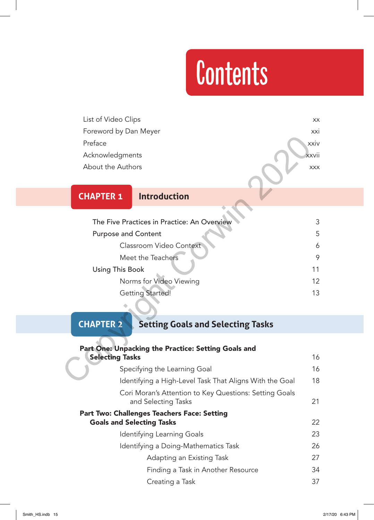# **Contents**

List of Video Clips xx Foreword by Dan Meyer **xxi** Preface xxiv Acknowledgments xxvii About the Authors xxx

#### **CHAPTER 1 Introduction**

# The Five Practices in Practice: An Overview 33 Purpose and Content 5 Classroom Video Context 6 Meet the Teachers 9 Using This Book 11 Norms for Video Viewing 12 Getting Started! 13 Preface<br>
Acknowledgments<br>
About the Authors<br>
Notatives and Content<br>
The Five Practices in Practice: An Overview<br>
Purpose and Content<br>
Classroom Video Context<br>
Meet the Teachers<br>
Using This Book<br>
Norms for Video Viewing<br>
Ge

#### **CHAPTER 2 Setting Goals and Selecting Tasks**

| Part One: Unpacking the Practice: Setting Goals and                                    |    |
|----------------------------------------------------------------------------------------|----|
| <b>Selecting Tasks</b>                                                                 | 16 |
| Specifying the Learning Goal                                                           | 16 |
| Identifying a High-Level Task That Aligns With the Goal                                | 18 |
| Cori Moran's Attention to Key Questions: Setting Goals<br>and Selecting Tasks          | 21 |
| <b>Part Two: Challenges Teachers Face: Setting</b><br><b>Goals and Selecting Tasks</b> | 22 |
| Identifying Learning Goals                                                             | 23 |
| Identifying a Doing-Mathematics Task                                                   | 26 |
| Adapting an Existing Task                                                              | 27 |
| Finding a Task in Another Resource                                                     | 34 |
| Creating a Task                                                                        | 37 |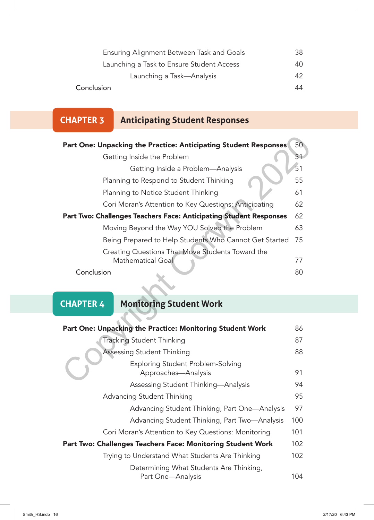| Ensuring Alignment Between Task and Goals | 38  |
|-------------------------------------------|-----|
| Launching a Task to Ensure Student Access | 40. |
| Launching a Task—Analysis                 | 42  |
| Conclusion                                | 44  |

## **CHAPTER 3 Anticipating Student Responses**

| Part One: Unpacking the Practice: Anticipating Student Responses                           | 50  |  |  |
|--------------------------------------------------------------------------------------------|-----|--|--|
| Getting Inside the Problem                                                                 | 51  |  |  |
| Getting Inside a Problem-Analysis                                                          | 51  |  |  |
| Planning to Respond to Student Thinking                                                    | 55  |  |  |
| Planning to Notice Student Thinking                                                        | 61  |  |  |
| Cori Moran's Attention to Key Questions: Anticipating                                      | 62  |  |  |
| Part Two: Challenges Teachers Face: Anticipating Student Responses                         |     |  |  |
| Moving Beyond the Way YOU Solved the Problem                                               | 63  |  |  |
| Being Prepared to Help Students Who Cannot Get Started                                     | 75  |  |  |
| Creating Questions That Move Students Toward the<br><b>Mathematical Goal</b><br>Conclusion |     |  |  |
|                                                                                            |     |  |  |
| <b>CHAPTER 4</b><br><b>Monitoring Student Work</b>                                         |     |  |  |
|                                                                                            |     |  |  |
| Part One: Unpacking the Practice: Monitoring Student Work                                  | 86  |  |  |
| <b>Tracking Student Thinking</b>                                                           | 87  |  |  |
| Assessing Student Thinking                                                                 | 88  |  |  |
| Exploring Student Problem-Solving<br>Approaches-Analysis                                   | 91  |  |  |
| Assossing Student Thinking Analysis                                                        | O A |  |  |

|  |  | <b>CHAPTER 4</b> |  |
|--|--|------------------|--|

## **CHAPTER 4 Monitoring Student Work**

| Part One: Unpacking the Practice: Monitoring Student Work    | 86  |
|--------------------------------------------------------------|-----|
| <b>Tracking Student Thinking</b>                             | 87  |
| <b>Assessing Student Thinking</b>                            | 88  |
| Exploring Student Problem-Solving<br>Approaches-Analysis     | 91  |
| Assessing Student Thinking-Analysis                          | 94  |
| Advancing Student Thinking                                   |     |
| Advancing Student Thinking, Part One-Analysis                | 97  |
| Advancing Student Thinking, Part Two-Analysis                | 100 |
| Cori Moran's Attention to Key Questions: Monitoring          | 101 |
| Part Two: Challenges Teachers Face: Monitoring Student Work  | 102 |
| Trying to Understand What Students Are Thinking              | 102 |
| Determining What Students Are Thinking,<br>Part One-Analysis | 104 |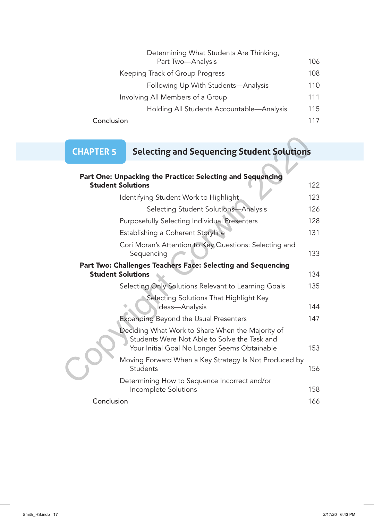| Determining What Students Are Thinking,   |     |
|-------------------------------------------|-----|
| Part Two-Analysis                         | 106 |
| Keeping Track of Group Progress           | 108 |
| Following Up With Students-Analysis       | 110 |
| Involving All Members of a Group          | 111 |
| Holding All Students Accountable—Analysis | 115 |
| Conclusion                                | 117 |

## **CHAPTER 5 Selecting and Sequencing Student Solutions**

| <b>CHAPTER 5</b>                                                                         | <b>Selecting and Sequencing Student Solutions</b>                                                                                                |     |
|------------------------------------------------------------------------------------------|--------------------------------------------------------------------------------------------------------------------------------------------------|-----|
|                                                                                          | Part One: Unpacking the Practice: Selecting and Sequencing                                                                                       |     |
|                                                                                          | <b>Student Solutions</b>                                                                                                                         | 122 |
|                                                                                          | Identifying Student Work to Highlight                                                                                                            | 123 |
|                                                                                          | Selecting Student Solutions-Analysis                                                                                                             | 126 |
|                                                                                          | Purposefully Selecting Individual Presenters                                                                                                     | 128 |
|                                                                                          | Establishing a Coherent Storyline                                                                                                                | 131 |
|                                                                                          | Cori Moran's Attention to Key Questions: Selecting and<br>Sequencing                                                                             | 133 |
| Part Two: Challenges Teachers Face: Selecting and Sequencing<br><b>Student Solutions</b> |                                                                                                                                                  |     |
|                                                                                          | Selecting Only Solutions Relevant to Learning Goals                                                                                              | 135 |
|                                                                                          | Selecting Solutions That Highlight Key<br>Ideas-Analysis                                                                                         | 144 |
|                                                                                          | <b>Expanding Beyond the Usual Presenters</b>                                                                                                     | 147 |
|                                                                                          | Deciding What Work to Share When the Majority of<br>Students Were Not Able to Solve the Task and<br>Your Initial Goal No Longer Seems Obtainable | 153 |
|                                                                                          | Moving Forward When a Key Strategy Is Not Produced by<br>Students                                                                                | 156 |
|                                                                                          | Determining How to Sequence Incorrect and/or<br>Incomplete Solutions                                                                             | 158 |
| Conclusion                                                                               |                                                                                                                                                  | 166 |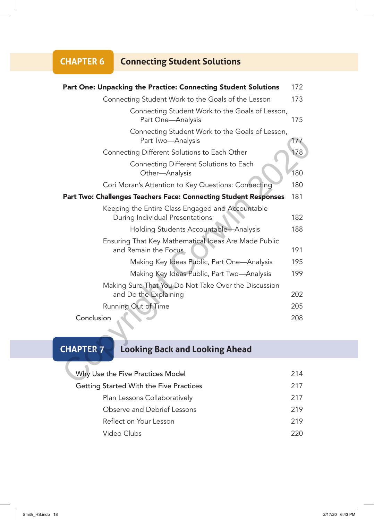#### **CHAPTER 6 Connecting Student Solutions**

| Part One: Unpacking the Practice: Connecting Student Solutions                          | 172                        |
|-----------------------------------------------------------------------------------------|----------------------------|
| Connecting Student Work to the Goals of the Lesson                                      | 173                        |
| Connecting Student Work to the Goals of Lesson,<br>Part One-Analysis                    | 175                        |
| Connecting Student Work to the Goals of Lesson,<br>Part Two-Analysis                    | 177                        |
| Connecting Different Solutions to Each Other                                            | 178                        |
| Connecting Different Solutions to Each<br>Other-Analysis                                | 180                        |
| Cori Moran's Attention to Key Questions: Connecting                                     | 180                        |
| Part Two: Challenges Teachers Face: Connecting Student Responses                        | 181                        |
| Keeping the Entire Class Engaged and Accountable<br>During Individual Presentations     | 182                        |
| Holding Students Accountable-Analysis                                                   | 188                        |
| Ensuring That Key Mathematical Ideas Are Made Public<br>and Remain the Focus            | 191                        |
| Making Key Ideas Public, Part One-Analysis                                              | 195                        |
| Making Key Ideas Public, Part Two-Analysis                                              | 199                        |
| Making Sure That You Do Not Take Over the Discussion<br>and Do the Explaining           | 202                        |
| Running Out of Time                                                                     | 205                        |
| Conclusion                                                                              | 208                        |
| <b>CHAPTER 7</b><br><b>Looking Back and Looking Ahead</b>                               |                            |
| Why Use the Five Practices Model<br>$\mathcal{C}_{1}$ . In the set of $\mathcal{C}_{2}$ | 214<br>$\bigcap$ $\bigcap$ |

## **CHAPTER 7 Looking Back and Looking Ahead**

| Why Use the Five Practices Model               |     |
|------------------------------------------------|-----|
| <b>Getting Started With the Five Practices</b> | 217 |
| Plan Lessons Collaboratively                   | 217 |
| Observe and Debrief Lessons                    | 219 |
| Reflect on Your Lesson                         | 219 |
| Video Clubs                                    |     |